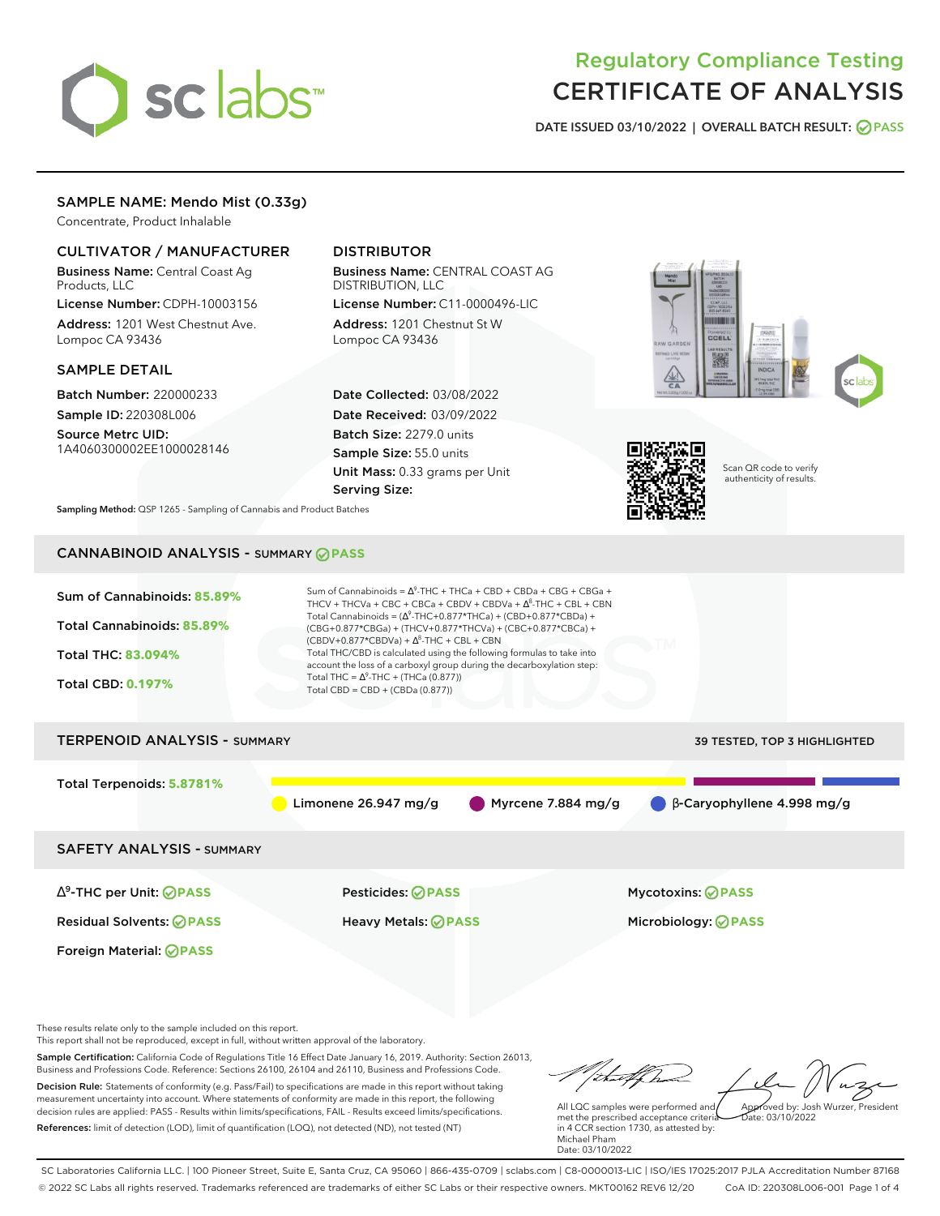# sclabs<sup>\*</sup>

# Regulatory Compliance Testing CERTIFICATE OF ANALYSIS

**DATE ISSUED 03/10/2022 | OVERALL BATCH RESULT: PASS**

# SAMPLE NAME: Mendo Mist (0.33g)

Concentrate, Product Inhalable

# CULTIVATOR / MANUFACTURER

Business Name: Central Coast Ag Products, LLC

License Number: CDPH-10003156 Address: 1201 West Chestnut Ave. Lompoc CA 93436

# SAMPLE DETAIL

Batch Number: 220000233 Sample ID: 220308L006

Source Metrc UID: 1A4060300002EE1000028146

# DISTRIBUTOR

Business Name: CENTRAL COAST AG DISTRIBUTION, LLC License Number: C11-0000496-LIC

Address: 1201 Chestnut St W Lompoc CA 93436

Date Collected: 03/08/2022 Date Received: 03/09/2022 Batch Size: 2279.0 units Sample Size: 55.0 units Unit Mass: 0.33 grams per Unit Serving Size:





Scan QR code to verify authenticity of results.

**Sampling Method:** QSP 1265 - Sampling of Cannabis and Product Batches

# CANNABINOID ANALYSIS - SUMMARY **PASS**



This report shall not be reproduced, except in full, without written approval of the laboratory.

Sample Certification: California Code of Regulations Title 16 Effect Date January 16, 2019. Authority: Section 26013, Business and Professions Code. Reference: Sections 26100, 26104 and 26110, Business and Professions Code. Decision Rule: Statements of conformity (e.g. Pass/Fail) to specifications are made in this report without taking measurement uncertainty into account. Where statements of conformity are made in this report, the following decision rules are applied: PASS - Results within limits/specifications, FAIL - Results exceed limits/specifications.

References: limit of detection (LOD), limit of quantification (LOQ), not detected (ND), not tested (NT)

tu#f h Approved by: Josh Wurzer, President

 $ate: 03/10/2022$ 

All LQC samples were performed and met the prescribed acceptance criteria in 4 CCR section 1730, as attested by: Michael Pham Date: 03/10/2022

SC Laboratories California LLC. | 100 Pioneer Street, Suite E, Santa Cruz, CA 95060 | 866-435-0709 | sclabs.com | C8-0000013-LIC | ISO/IES 17025:2017 PJLA Accreditation Number 87168 © 2022 SC Labs all rights reserved. Trademarks referenced are trademarks of either SC Labs or their respective owners. MKT00162 REV6 12/20 CoA ID: 220308L006-001 Page 1 of 4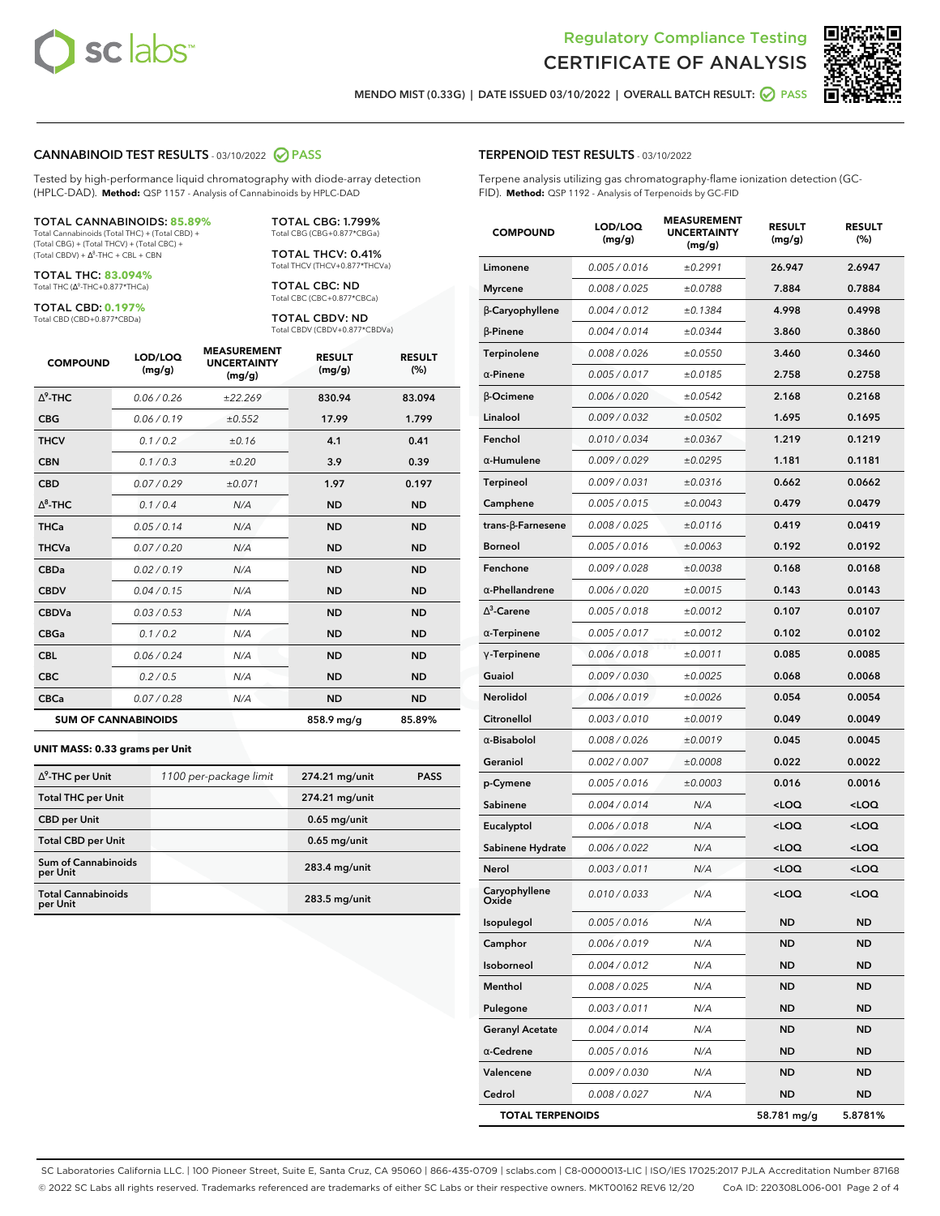

Terpene analysis utilizing gas chromatography-flame ionization detection (GC-



**MENDO MIST (0.33G) | DATE ISSUED 03/10/2022 | OVERALL BATCH RESULT: PASS**

**TERPENOID TEST RESULTS** - 03/10/2022

FID). **Method:** QSP 1192 - Analysis of Terpenoids by GC-FID

#### **CANNABINOID TEST RESULTS** - 03/10/2022 **PASS**

Tested by high-performance liquid chromatography with diode-array detection (HPLC-DAD). **Method:** QSP 1157 - Analysis of Cannabinoids by HPLC-DAD

#### TOTAL CANNABINOIDS: **85.89%**

Total Cannabinoids (Total THC) + (Total CBD) + (Total CBG) + (Total THCV) + (Total CBC) +  $(Total CBDV) +  $\Delta^8$ -THC + CBL + CBN$ 

TOTAL THC: **83.094%** Total THC (Ƽ-THC+0.877\*THCa)

TOTAL CBD: **0.197%**

Total CBD (CBD+0.877\*CBDa)

TOTAL CBG: 1.799% Total CBG (CBG+0.877\*CBGa)

TOTAL THCV: 0.41% Total THCV (THCV+0.877\*THCVa)

TOTAL CBC: ND Total CBC (CBC+0.877\*CBCa)

TOTAL CBDV: ND Total CBDV (CBDV+0.877\*CBDVa)

| <b>COMPOUND</b>  | LOD/LOQ<br>(mg/g)          | <b>MEASUREMENT</b><br><b>UNCERTAINTY</b><br>(mg/g) | <b>RESULT</b><br>(mg/g) | <b>RESULT</b><br>(%) |
|------------------|----------------------------|----------------------------------------------------|-------------------------|----------------------|
| $\Lambda^9$ -THC | 0.06/0.26                  | ±22.269                                            | 830.94                  | 83.094               |
| <b>CBG</b>       | 0.06/0.19                  | ±0.552                                             | 17.99                   | 1.799                |
| <b>THCV</b>      | 0.1/0.2                    | ±0.16                                              | 4.1                     | 0.41                 |
| <b>CBN</b>       | 0.1/0.3                    | ±0.20                                              | 3.9                     | 0.39                 |
| <b>CBD</b>       | 0.07/0.29                  | ±0.071                                             | 1.97                    | 0.197                |
| $\Delta^8$ -THC  | 0.1 / 0.4                  | N/A                                                | <b>ND</b>               | <b>ND</b>            |
| <b>THCa</b>      | 0.05/0.14                  | N/A                                                | <b>ND</b>               | <b>ND</b>            |
| <b>THCVa</b>     | 0.07 / 0.20                | N/A                                                | <b>ND</b>               | <b>ND</b>            |
| <b>CBDa</b>      | 0.02/0.19                  | N/A                                                | <b>ND</b>               | <b>ND</b>            |
| <b>CBDV</b>      | 0.04 / 0.15                | N/A                                                | <b>ND</b>               | <b>ND</b>            |
| <b>CBDVa</b>     | 0.03/0.53                  | N/A                                                | <b>ND</b>               | <b>ND</b>            |
| <b>CBGa</b>      | 0.1/0.2                    | N/A                                                | <b>ND</b>               | <b>ND</b>            |
| <b>CBL</b>       | 0.06 / 0.24                | N/A                                                | <b>ND</b>               | <b>ND</b>            |
| <b>CBC</b>       | 0.2 / 0.5                  | N/A                                                | <b>ND</b>               | <b>ND</b>            |
| <b>CBCa</b>      | 0.07 / 0.28                | N/A                                                | <b>ND</b>               | <b>ND</b>            |
|                  | <b>SUM OF CANNABINOIDS</b> |                                                    | 858.9 mg/g              | 85.89%               |

#### **UNIT MASS: 0.33 grams per Unit**

| $\Delta^9$ -THC per Unit               | 1100 per-package limit | 274.21 mg/unit | <b>PASS</b> |
|----------------------------------------|------------------------|----------------|-------------|
| <b>Total THC per Unit</b>              |                        | 274.21 mg/unit |             |
| <b>CBD</b> per Unit                    |                        | $0.65$ mg/unit |             |
| <b>Total CBD per Unit</b>              |                        | $0.65$ mg/unit |             |
| <b>Sum of Cannabinoids</b><br>per Unit |                        | 283.4 mg/unit  |             |
| <b>Total Cannabinoids</b><br>per Unit  |                        | 283.5 mg/unit  |             |

| <b>COMPOUND</b>          | LOD/LOQ<br>(mg/g) | <b>MEASUREMENT</b><br><b>UNCERTAINTY</b><br>(mg/g) | <b>RESULT</b><br>(mg/g)                         | <b>RESULT</b><br>$(\%)$ |
|--------------------------|-------------------|----------------------------------------------------|-------------------------------------------------|-------------------------|
| Limonene                 | 0.005 / 0.016     | ±0.2991                                            | 26.947                                          | 2.6947                  |
| <b>Myrcene</b>           | 0.008 / 0.025     | ±0.0788                                            | 7.884                                           | 0.7884                  |
| β-Caryophyllene          | 0.004 / 0.012     | ±0.1384                                            | 4.998                                           | 0.4998                  |
| $\beta$ -Pinene          | 0.004 / 0.014     | ±0.0344                                            | 3.860                                           | 0.3860                  |
| Terpinolene              | 0.008 / 0.026     | ±0.0550                                            | 3.460                                           | 0.3460                  |
| $\alpha$ -Pinene         | 0.005 / 0.017     | ±0.0185                                            | 2.758                                           | 0.2758                  |
| $\beta$ -Ocimene         | 0.006 / 0.020     | ±0.0542                                            | 2.168                                           | 0.2168                  |
| Linalool                 | 0.009 / 0.032     | ±0.0502                                            | 1.695                                           | 0.1695                  |
| Fenchol                  | 0.010 / 0.034     | ±0.0367                                            | 1.219                                           | 0.1219                  |
| $\alpha$ -Humulene       | 0.009/0.029       | ±0.0295                                            | 1.181                                           | 0.1181                  |
| Terpineol                | 0.009 / 0.031     | ±0.0316                                            | 0.662                                           | 0.0662                  |
| Camphene                 | 0.005 / 0.015     | ±0.0043                                            | 0.479                                           | 0.0479                  |
| $trans-\beta$ -Farnesene | 0.008 / 0.025     | ±0.0116                                            | 0.419                                           | 0.0419                  |
| <b>Borneol</b>           | 0.005 / 0.016     | ±0.0063                                            | 0.192                                           | 0.0192                  |
| Fenchone                 | 0.009 / 0.028     | ±0.0038                                            | 0.168                                           | 0.0168                  |
| $\alpha$ -Phellandrene   | 0.006 / 0.020     | ±0.0015                                            | 0.143                                           | 0.0143                  |
| $\Delta^3$ -Carene       | 0.005 / 0.018     | ±0.0012                                            | 0.107                                           | 0.0107                  |
| $\alpha$ -Terpinene      | 0.005 / 0.017     | ±0.0012                                            | 0.102                                           | 0.0102                  |
| $\gamma$ -Terpinene      | 0.006 / 0.018     | ±0.0011                                            | 0.085                                           | 0.0085                  |
| Guaiol                   | 0.009 / 0.030     | ±0.0025                                            | 0.068                                           | 0.0068                  |
| Nerolidol                | 0.006 / 0.019     | ±0.0026                                            | 0.054                                           | 0.0054                  |
| Citronellol              | 0.003 / 0.010     | ±0.0019                                            | 0.049                                           | 0.0049                  |
| $\alpha$ -Bisabolol      | 0.008 / 0.026     | ±0.0019                                            | 0.045                                           | 0.0045                  |
| Geraniol                 | 0.002 / 0.007     | ±0.0008                                            | 0.022                                           | 0.0022                  |
| p-Cymene                 | 0.005 / 0.016     | ±0.0003                                            | 0.016                                           | 0.0016                  |
| Sabinene                 | 0.004 / 0.014     | N/A                                                | <loq< th=""><th><loq< th=""></loq<></th></loq<> | <loq< th=""></loq<>     |
| Eucalyptol               | 0.006 / 0.018     | N/A                                                | <loq< th=""><th><loq< th=""></loq<></th></loq<> | <loq< th=""></loq<>     |
| Sabinene Hydrate         | 0.006 / 0.022     | N/A                                                | <loq< th=""><th><loq< th=""></loq<></th></loq<> | <loq< th=""></loq<>     |
| Nerol                    | 0.003 / 0.011     | N/A                                                | <loq< th=""><th><loq< th=""></loq<></th></loq<> | <loq< th=""></loq<>     |
| Caryophyllene<br>Oxide   | 0.010 / 0.033     | N/A                                                | <loq< th=""><th><loq< th=""></loq<></th></loq<> | <loq< th=""></loq<>     |
| Isopulegol               | 0.005 / 0.016     | N/A                                                | ND                                              | ND                      |
| Camphor                  | 0.006 / 0.019     | N/A                                                | ND                                              | <b>ND</b>               |
| Isoborneol               | 0.004 / 0.012     | N/A                                                | ND                                              | ND                      |
| Menthol                  | 0.008 / 0.025     | N/A                                                | ND                                              | ND                      |
| Pulegone                 | 0.003 / 0.011     | N/A                                                | ND                                              | <b>ND</b>               |
| <b>Geranyl Acetate</b>   | 0.004 / 0.014     | N/A                                                | ND                                              | ND                      |
| $\alpha$ -Cedrene        | 0.005 / 0.016     | N/A                                                | ND                                              | ND                      |
| Valencene                | 0.009 / 0.030     | N/A                                                | ND                                              | ND                      |
| Cedrol                   | 0.008 / 0.027     | N/A                                                | ND                                              | ND                      |
| <b>TOTAL TERPENOIDS</b>  |                   |                                                    | 58.781 mg/g                                     | 5.8781%                 |

SC Laboratories California LLC. | 100 Pioneer Street, Suite E, Santa Cruz, CA 95060 | 866-435-0709 | sclabs.com | C8-0000013-LIC | ISO/IES 17025:2017 PJLA Accreditation Number 87168 © 2022 SC Labs all rights reserved. Trademarks referenced are trademarks of either SC Labs or their respective owners. MKT00162 REV6 12/20 CoA ID: 220308L006-001 Page 2 of 4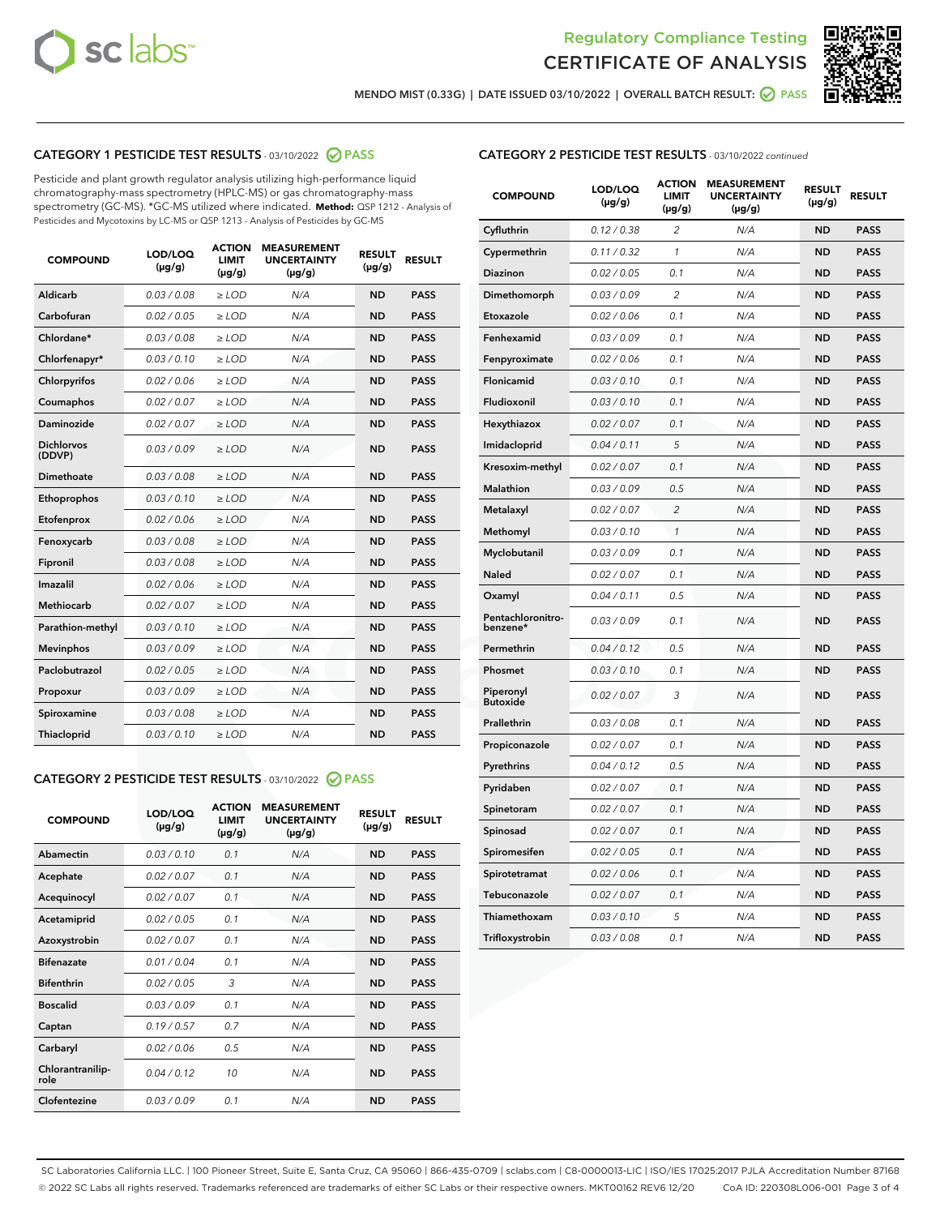



**MENDO MIST (0.33G) | DATE ISSUED 03/10/2022 | OVERALL BATCH RESULT: PASS**

# **CATEGORY 1 PESTICIDE TEST RESULTS** - 03/10/2022 **PASS**

Pesticide and plant growth regulator analysis utilizing high-performance liquid chromatography-mass spectrometry (HPLC-MS) or gas chromatography-mass spectrometry (GC-MS). \*GC-MS utilized where indicated. **Method:** QSP 1212 - Analysis of Pesticides and Mycotoxins by LC-MS or QSP 1213 - Analysis of Pesticides by GC-MS

| 0.03 / 0.08<br><b>ND</b><br>Aldicarb<br>$\ge$ LOD<br>N/A<br><b>PASS</b><br>Carbofuran<br>0.02 / 0.05<br>$>$ LOD<br>N/A<br><b>ND</b><br><b>PASS</b><br>Chlordane*<br>0.03 / 0.08<br>N/A<br><b>ND</b><br><b>PASS</b><br>$\ge$ LOD<br>Chlorfenapyr*<br>0.03/0.10<br>N/A<br><b>ND</b><br><b>PASS</b><br>$\ge$ LOD<br>N/A<br><b>ND</b><br><b>PASS</b><br>Chlorpyrifos<br>0.02/0.06<br>$>$ LOD<br>0.02 / 0.07<br><b>PASS</b><br>Coumaphos<br>$\ge$ LOD<br>N/A<br><b>ND</b><br>Daminozide<br>0.02 / 0.07<br>N/A<br><b>PASS</b><br>$\ge$ LOD<br><b>ND</b><br><b>Dichlorvos</b><br>0.03/0.09<br>N/A<br>$\ge$ LOD<br><b>ND</b><br><b>PASS</b><br>(DDVP)<br>0.03 / 0.08<br><b>ND</b><br>Dimethoate<br>$>$ LOD<br>N/A<br><b>PASS</b><br>0.03/0.10<br><b>ND</b><br><b>PASS</b><br>Ethoprophos<br>$>$ LOD<br>N/A<br>0.02 / 0.06<br>N/A<br><b>ND</b><br><b>PASS</b><br>Etofenprox<br>$\ge$ LOD<br>0.03 / 0.08<br>N/A<br><b>ND</b><br><b>PASS</b><br>Fenoxycarb<br>$\ge$ LOD<br>0.03 / 0.08<br><b>ND</b><br><b>PASS</b><br>Fipronil<br>$\ge$ LOD<br>N/A<br>Imazalil<br>0.02 / 0.06<br>N/A<br><b>ND</b><br>$\ge$ LOD<br><b>PASS</b><br><b>Methiocarb</b><br>0.02 / 0.07<br>$\ge$ LOD<br>N/A<br><b>ND</b><br><b>PASS</b><br>Parathion-methyl<br>0.03/0.10<br>$>$ LOD<br>N/A<br><b>ND</b><br><b>PASS</b><br>0.03/0.09<br>N/A<br><b>ND</b><br><b>PASS</b><br><b>Mevinphos</b><br>$\ge$ LOD<br>Paclobutrazol<br>0.02 / 0.05<br>N/A<br><b>ND</b><br><b>PASS</b><br>$\ge$ LOD<br>0.03/0.09<br>$>$ LOD<br>N/A<br><b>ND</b><br><b>PASS</b><br>Propoxur<br>0.03 / 0.08<br>$\ge$ LOD<br>N/A<br><b>ND</b><br><b>PASS</b><br>Spiroxamine<br>0.03/0.10<br>N/A<br><b>ND</b><br><b>PASS</b><br>Thiacloprid<br>$\ge$ LOD | <b>COMPOUND</b> | LOD/LOQ<br>$(\mu g/g)$ | <b>ACTION</b><br><b>LIMIT</b><br>$(\mu g/g)$ | <b>MEASUREMENT</b><br><b>UNCERTAINTY</b><br>$(\mu g/g)$ | <b>RESULT</b><br>$(\mu g/g)$ | <b>RESULT</b> |
|-----------------------------------------------------------------------------------------------------------------------------------------------------------------------------------------------------------------------------------------------------------------------------------------------------------------------------------------------------------------------------------------------------------------------------------------------------------------------------------------------------------------------------------------------------------------------------------------------------------------------------------------------------------------------------------------------------------------------------------------------------------------------------------------------------------------------------------------------------------------------------------------------------------------------------------------------------------------------------------------------------------------------------------------------------------------------------------------------------------------------------------------------------------------------------------------------------------------------------------------------------------------------------------------------------------------------------------------------------------------------------------------------------------------------------------------------------------------------------------------------------------------------------------------------------------------------------------------------------------------------------------------------------------------------------------------|-----------------|------------------------|----------------------------------------------|---------------------------------------------------------|------------------------------|---------------|
|                                                                                                                                                                                                                                                                                                                                                                                                                                                                                                                                                                                                                                                                                                                                                                                                                                                                                                                                                                                                                                                                                                                                                                                                                                                                                                                                                                                                                                                                                                                                                                                                                                                                                         |                 |                        |                                              |                                                         |                              |               |
|                                                                                                                                                                                                                                                                                                                                                                                                                                                                                                                                                                                                                                                                                                                                                                                                                                                                                                                                                                                                                                                                                                                                                                                                                                                                                                                                                                                                                                                                                                                                                                                                                                                                                         |                 |                        |                                              |                                                         |                              |               |
|                                                                                                                                                                                                                                                                                                                                                                                                                                                                                                                                                                                                                                                                                                                                                                                                                                                                                                                                                                                                                                                                                                                                                                                                                                                                                                                                                                                                                                                                                                                                                                                                                                                                                         |                 |                        |                                              |                                                         |                              |               |
|                                                                                                                                                                                                                                                                                                                                                                                                                                                                                                                                                                                                                                                                                                                                                                                                                                                                                                                                                                                                                                                                                                                                                                                                                                                                                                                                                                                                                                                                                                                                                                                                                                                                                         |                 |                        |                                              |                                                         |                              |               |
|                                                                                                                                                                                                                                                                                                                                                                                                                                                                                                                                                                                                                                                                                                                                                                                                                                                                                                                                                                                                                                                                                                                                                                                                                                                                                                                                                                                                                                                                                                                                                                                                                                                                                         |                 |                        |                                              |                                                         |                              |               |
|                                                                                                                                                                                                                                                                                                                                                                                                                                                                                                                                                                                                                                                                                                                                                                                                                                                                                                                                                                                                                                                                                                                                                                                                                                                                                                                                                                                                                                                                                                                                                                                                                                                                                         |                 |                        |                                              |                                                         |                              |               |
|                                                                                                                                                                                                                                                                                                                                                                                                                                                                                                                                                                                                                                                                                                                                                                                                                                                                                                                                                                                                                                                                                                                                                                                                                                                                                                                                                                                                                                                                                                                                                                                                                                                                                         |                 |                        |                                              |                                                         |                              |               |
|                                                                                                                                                                                                                                                                                                                                                                                                                                                                                                                                                                                                                                                                                                                                                                                                                                                                                                                                                                                                                                                                                                                                                                                                                                                                                                                                                                                                                                                                                                                                                                                                                                                                                         |                 |                        |                                              |                                                         |                              |               |
|                                                                                                                                                                                                                                                                                                                                                                                                                                                                                                                                                                                                                                                                                                                                                                                                                                                                                                                                                                                                                                                                                                                                                                                                                                                                                                                                                                                                                                                                                                                                                                                                                                                                                         |                 |                        |                                              |                                                         |                              |               |
|                                                                                                                                                                                                                                                                                                                                                                                                                                                                                                                                                                                                                                                                                                                                                                                                                                                                                                                                                                                                                                                                                                                                                                                                                                                                                                                                                                                                                                                                                                                                                                                                                                                                                         |                 |                        |                                              |                                                         |                              |               |
|                                                                                                                                                                                                                                                                                                                                                                                                                                                                                                                                                                                                                                                                                                                                                                                                                                                                                                                                                                                                                                                                                                                                                                                                                                                                                                                                                                                                                                                                                                                                                                                                                                                                                         |                 |                        |                                              |                                                         |                              |               |
|                                                                                                                                                                                                                                                                                                                                                                                                                                                                                                                                                                                                                                                                                                                                                                                                                                                                                                                                                                                                                                                                                                                                                                                                                                                                                                                                                                                                                                                                                                                                                                                                                                                                                         |                 |                        |                                              |                                                         |                              |               |
|                                                                                                                                                                                                                                                                                                                                                                                                                                                                                                                                                                                                                                                                                                                                                                                                                                                                                                                                                                                                                                                                                                                                                                                                                                                                                                                                                                                                                                                                                                                                                                                                                                                                                         |                 |                        |                                              |                                                         |                              |               |
|                                                                                                                                                                                                                                                                                                                                                                                                                                                                                                                                                                                                                                                                                                                                                                                                                                                                                                                                                                                                                                                                                                                                                                                                                                                                                                                                                                                                                                                                                                                                                                                                                                                                                         |                 |                        |                                              |                                                         |                              |               |
|                                                                                                                                                                                                                                                                                                                                                                                                                                                                                                                                                                                                                                                                                                                                                                                                                                                                                                                                                                                                                                                                                                                                                                                                                                                                                                                                                                                                                                                                                                                                                                                                                                                                                         |                 |                        |                                              |                                                         |                              |               |
|                                                                                                                                                                                                                                                                                                                                                                                                                                                                                                                                                                                                                                                                                                                                                                                                                                                                                                                                                                                                                                                                                                                                                                                                                                                                                                                                                                                                                                                                                                                                                                                                                                                                                         |                 |                        |                                              |                                                         |                              |               |
|                                                                                                                                                                                                                                                                                                                                                                                                                                                                                                                                                                                                                                                                                                                                                                                                                                                                                                                                                                                                                                                                                                                                                                                                                                                                                                                                                                                                                                                                                                                                                                                                                                                                                         |                 |                        |                                              |                                                         |                              |               |
|                                                                                                                                                                                                                                                                                                                                                                                                                                                                                                                                                                                                                                                                                                                                                                                                                                                                                                                                                                                                                                                                                                                                                                                                                                                                                                                                                                                                                                                                                                                                                                                                                                                                                         |                 |                        |                                              |                                                         |                              |               |
|                                                                                                                                                                                                                                                                                                                                                                                                                                                                                                                                                                                                                                                                                                                                                                                                                                                                                                                                                                                                                                                                                                                                                                                                                                                                                                                                                                                                                                                                                                                                                                                                                                                                                         |                 |                        |                                              |                                                         |                              |               |
|                                                                                                                                                                                                                                                                                                                                                                                                                                                                                                                                                                                                                                                                                                                                                                                                                                                                                                                                                                                                                                                                                                                                                                                                                                                                                                                                                                                                                                                                                                                                                                                                                                                                                         |                 |                        |                                              |                                                         |                              |               |
|                                                                                                                                                                                                                                                                                                                                                                                                                                                                                                                                                                                                                                                                                                                                                                                                                                                                                                                                                                                                                                                                                                                                                                                                                                                                                                                                                                                                                                                                                                                                                                                                                                                                                         |                 |                        |                                              |                                                         |                              |               |

# **CATEGORY 2 PESTICIDE TEST RESULTS** - 03/10/2022 **PASS**

| <b>COMPOUND</b>          | LOD/LOO<br>$(\mu g/g)$ | <b>ACTION</b><br><b>LIMIT</b><br>(µg/g) | <b>MEASUREMENT</b><br><b>UNCERTAINTY</b><br>$(\mu g/g)$ | <b>RESULT</b><br>$(\mu g/g)$ | <b>RESULT</b> |  |
|--------------------------|------------------------|-----------------------------------------|---------------------------------------------------------|------------------------------|---------------|--|
| Abamectin                | 0.03/0.10              | 0.1                                     | N/A                                                     | <b>ND</b>                    | <b>PASS</b>   |  |
| Acephate                 | 0.02/0.07              | 0.1                                     | N/A                                                     | <b>ND</b>                    | <b>PASS</b>   |  |
| Acequinocyl              | 0.02/0.07              | 0.1                                     | N/A                                                     | <b>ND</b>                    | <b>PASS</b>   |  |
| Acetamiprid              | 0.02/0.05              | 0.1                                     | N/A                                                     | <b>ND</b>                    | <b>PASS</b>   |  |
| Azoxystrobin             | 0.02/0.07              | 0.1                                     | N/A                                                     | <b>ND</b>                    | <b>PASS</b>   |  |
| <b>Bifenazate</b>        | 0.01/0.04              | 0.1                                     | N/A                                                     | <b>ND</b>                    | <b>PASS</b>   |  |
| <b>Bifenthrin</b>        | 0.02/0.05              | 3                                       | N/A                                                     | <b>ND</b>                    | <b>PASS</b>   |  |
| <b>Boscalid</b>          | 0.03/0.09              | 0.1                                     | N/A                                                     | <b>ND</b>                    | <b>PASS</b>   |  |
| Captan                   | 0.19/0.57              | 0.7                                     | N/A                                                     | <b>ND</b>                    | <b>PASS</b>   |  |
| Carbaryl                 | 0.02/0.06              | 0.5                                     | N/A                                                     | <b>ND</b>                    | <b>PASS</b>   |  |
| Chlorantranilip-<br>role | 0.04/0.12              | 10                                      | N/A                                                     | <b>ND</b>                    | <b>PASS</b>   |  |
| Clofentezine             | 0.03/0.09              | 0.1                                     | N/A                                                     | <b>ND</b>                    | <b>PASS</b>   |  |

# **CATEGORY 2 PESTICIDE TEST RESULTS** - 03/10/2022 continued

| <b>COMPOUND</b>               | LOD/LOQ<br>(µg/g) | <b>ACTION</b><br><b>LIMIT</b><br>(µg/g) | <b>MEASUREMENT</b><br><b>UNCERTAINTY</b><br>(µg/g) | <b>RESULT</b><br>(µg/g) | <b>RESULT</b> |
|-------------------------------|-------------------|-----------------------------------------|----------------------------------------------------|-------------------------|---------------|
| Cyfluthrin                    | 0.12 / 0.38       | $\overline{c}$                          | N/A                                                | <b>ND</b>               | <b>PASS</b>   |
| Cypermethrin                  | 0.11 / 0.32       | $\mathcal{I}$                           | N/A                                                | <b>ND</b>               | <b>PASS</b>   |
| <b>Diazinon</b>               | 0.02 / 0.05       | 0.1                                     | N/A                                                | <b>ND</b>               | <b>PASS</b>   |
| Dimethomorph                  | 0.03 / 0.09       | 2                                       | N/A                                                | <b>ND</b>               | <b>PASS</b>   |
| Etoxazole                     | 0.02 / 0.06       | 0.1                                     | N/A                                                | <b>ND</b>               | <b>PASS</b>   |
| Fenhexamid                    | 0.03 / 0.09       | 0.1                                     | N/A                                                | <b>ND</b>               | <b>PASS</b>   |
| Fenpyroximate                 | 0.02 / 0.06       | 0.1                                     | N/A                                                | <b>ND</b>               | <b>PASS</b>   |
| Flonicamid                    | 0.03 / 0.10       | 0.1                                     | N/A                                                | <b>ND</b>               | <b>PASS</b>   |
| Fludioxonil                   | 0.03 / 0.10       | 0.1                                     | N/A                                                | <b>ND</b>               | <b>PASS</b>   |
| Hexythiazox                   | 0.02 / 0.07       | 0.1                                     | N/A                                                | <b>ND</b>               | <b>PASS</b>   |
| Imidacloprid                  | 0.04 / 0.11       | 5                                       | N/A                                                | <b>ND</b>               | <b>PASS</b>   |
| Kresoxim-methyl               | 0.02 / 0.07       | 0.1                                     | N/A                                                | <b>ND</b>               | <b>PASS</b>   |
| <b>Malathion</b>              | 0.03 / 0.09       | 0.5                                     | N/A                                                | <b>ND</b>               | <b>PASS</b>   |
| Metalaxyl                     | 0.02 / 0.07       | $\overline{c}$                          | N/A                                                | <b>ND</b>               | <b>PASS</b>   |
| Methomyl                      | 0.03 / 0.10       | 1                                       | N/A                                                | <b>ND</b>               | <b>PASS</b>   |
| Myclobutanil                  | 0.03 / 0.09       | 0.1                                     | N/A                                                | <b>ND</b>               | <b>PASS</b>   |
| Naled                         | 0.02 / 0.07       | 0.1                                     | N/A                                                | <b>ND</b>               | <b>PASS</b>   |
| Oxamyl                        | 0.04 / 0.11       | 0.5                                     | N/A                                                | <b>ND</b>               | <b>PASS</b>   |
| Pentachloronitro-<br>benzene* | 0.03/0.09         | 0.1                                     | N/A                                                | <b>ND</b>               | <b>PASS</b>   |
| Permethrin                    | 0.04 / 0.12       | 0.5                                     | N/A                                                | <b>ND</b>               | <b>PASS</b>   |
| Phosmet                       | 0.03 / 0.10       | 0.1                                     | N/A                                                | <b>ND</b>               | <b>PASS</b>   |
| Piperonyl<br><b>Butoxide</b>  | 0.02 / 0.07       | 3                                       | N/A                                                | <b>ND</b>               | <b>PASS</b>   |
| Prallethrin                   | 0.03 / 0.08       | 0.1                                     | N/A                                                | <b>ND</b>               | <b>PASS</b>   |
| Propiconazole                 | 0.02 / 0.07       | 0.1                                     | N/A                                                | <b>ND</b>               | <b>PASS</b>   |
| Pyrethrins                    | 0.04 / 0.12       | 0.5                                     | N/A                                                | <b>ND</b>               | <b>PASS</b>   |
| Pyridaben                     | 0.02 / 0.07       | 0.1                                     | N/A                                                | <b>ND</b>               | <b>PASS</b>   |
| Spinetoram                    | 0.02 / 0.07       | 0.1                                     | N/A                                                | <b>ND</b>               | <b>PASS</b>   |
| Spinosad                      | 0.02 / 0.07       | 0.1                                     | N/A                                                | <b>ND</b>               | <b>PASS</b>   |
| Spiromesifen                  | 0.02 / 0.05       | 0.1                                     | N/A                                                | <b>ND</b>               | <b>PASS</b>   |
| Spirotetramat                 | 0.02 / 0.06       | 0.1                                     | N/A                                                | <b>ND</b>               | <b>PASS</b>   |
| Tebuconazole                  | 0.02 / 0.07       | 0.1                                     | N/A                                                | <b>ND</b>               | <b>PASS</b>   |
| Thiamethoxam                  | 0.03 / 0.10       | 5                                       | N/A                                                | <b>ND</b>               | <b>PASS</b>   |
| Trifloxystrobin               | 0.03 / 0.08       | 0.1                                     | N/A                                                | <b>ND</b>               | <b>PASS</b>   |

SC Laboratories California LLC. | 100 Pioneer Street, Suite E, Santa Cruz, CA 95060 | 866-435-0709 | sclabs.com | C8-0000013-LIC | ISO/IES 17025:2017 PJLA Accreditation Number 87168 © 2022 SC Labs all rights reserved. Trademarks referenced are trademarks of either SC Labs or their respective owners. MKT00162 REV6 12/20 CoA ID: 220308L006-001 Page 3 of 4